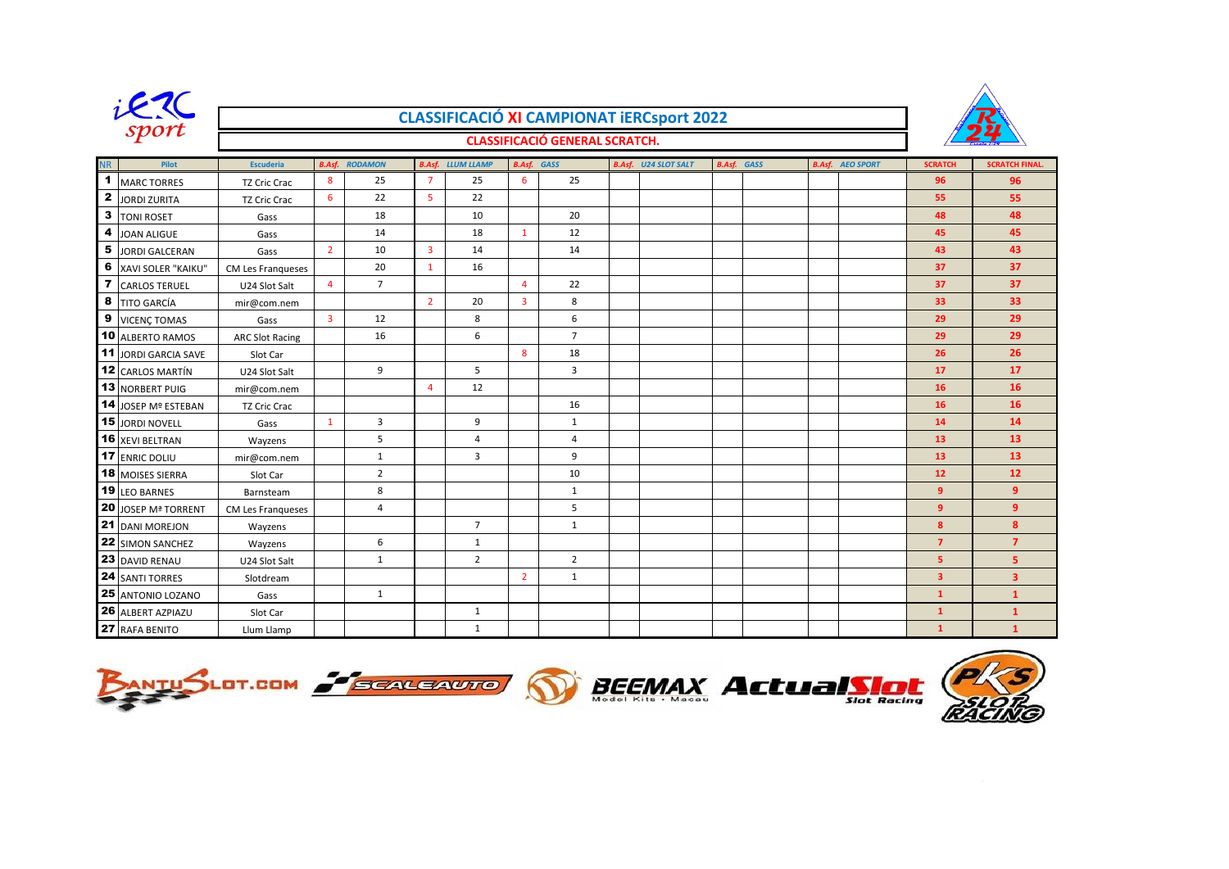

## **CLASSIFICACIÓ XI CAMPIONAT iERCsport 2022**



## **CLASSIFICACIÓ GENERAL SCRATCH.**

| <b>NR</b>    | Pilot                     | <b>Escuderia</b>         |                         | <b>B.Asf. RODAMON</b> |                | <b>B.Asf.</b> LLUM LLAMP | <b>B.Asf.</b> GASS |                | <b>B.Asf.</b> U24 SLOT SALT | <b>B.Asf.</b> GASS |  | <b>B.Asf.</b> AEO SPORT | <b>SCRATCH</b> | <b>SCRATCH FINAL.</b> |
|--------------|---------------------------|--------------------------|-------------------------|-----------------------|----------------|--------------------------|--------------------|----------------|-----------------------------|--------------------|--|-------------------------|----------------|-----------------------|
| 1            | <b>MARC TORRES</b>        | <b>TZ Cric Crac</b>      | 8                       | 25                    | $\overline{7}$ | 25                       | 6                  | 25             |                             |                    |  |                         | 96             | 96                    |
| $\mathbf{2}$ | <b>JORDI ZURITA</b>       | <b>TZ Cric Crac</b>      | 6                       | 22                    | 5              | 22                       |                    |                |                             |                    |  |                         | 55             | 55                    |
| 3            | <b>TONI ROSET</b>         | Gass                     |                         | 18                    |                | 10                       |                    | 20             |                             |                    |  |                         | 48             | 48                    |
| 4            | JOAN ALIGUE               | Gass                     |                         | 14                    |                | 18                       | $\mathbf{1}$       | 12             |                             |                    |  |                         | 45             | 45                    |
| 5            | <b>JORDI GALCERAN</b>     | Gass                     | $\overline{2}$          | 10                    | $\overline{3}$ | 14                       |                    | 14             |                             |                    |  |                         | 43             | 43                    |
| 6            | <b>XAVI SOLER "KAIKU"</b> | <b>CM Les Franqueses</b> |                         | 20                    | $\mathbf{1}$   | 16                       |                    |                |                             |                    |  |                         | 37             | 37                    |
|              | <b>CARLOS TERUEL</b>      | U24 Slot Salt            | $\overline{4}$          | $\overline{7}$        |                |                          | $\overline{a}$     | 22             |                             |                    |  |                         | 37             | 37 <sub>2</sub>       |
| 8            | <b>TITO GARCÍA</b>        | mir@com.nem              |                         |                       | $\overline{2}$ | 20                       | $\overline{3}$     | 8              |                             |                    |  |                         | 33             | 33                    |
| 9            | <b>VICENÇ TOMAS</b>       | Gass                     | $\overline{\mathbf{3}}$ | 12                    |                | 8                        |                    | 6              |                             |                    |  |                         | 29             | 29                    |
|              | 10 ALBERTO RAMOS          | <b>ARC Slot Racing</b>   |                         | 16                    |                | 6                        |                    | $\overline{7}$ |                             |                    |  |                         | 29             | 29                    |
|              | 11 JORDI GARCIA SAVE      | Slot Car                 |                         |                       |                |                          | 8                  | 18             |                             |                    |  |                         | 26             | 26                    |
|              | <b>12 CARLOS MARTÍN</b>   | U24 Slot Salt            |                         | 9                     |                | 5                        |                    | 3              |                             |                    |  |                         | 17             | 17                    |
|              | <b>13 NORBERT PUIG</b>    | mir@com.nem              |                         |                       | $\overline{4}$ | 12                       |                    |                |                             |                    |  |                         | 16             | 16                    |
|              | 14 JOSEP Mº ESTEBAN       | <b>TZ Cric Crac</b>      |                         |                       |                |                          |                    | 16             |                             |                    |  |                         | 16             | 16                    |
|              | 15 JORDI NOVELL           | Gass                     | $\mathbf{1}$            | 3                     |                | 9                        |                    | $\mathbf{1}$   |                             |                    |  |                         | 14             | 14                    |
|              | 16 XEVI BELTRAN           | Wayzens                  |                         | 5                     |                | 4                        |                    | $\overline{4}$ |                             |                    |  |                         | 13             | 13                    |
|              | 17 ENRIC DOLIU            | mir@com.nem              |                         | $\mathbf{1}$          |                | 3                        |                    | 9              |                             |                    |  |                         | 13             | 13                    |
|              | 18 MOISES SIERRA          | Slot Car                 |                         | $\overline{2}$        |                |                          |                    | 10             |                             |                    |  |                         | 12             | 12                    |
|              | <b>19 LEO BARNES</b>      | Barnsteam                |                         | 8                     |                |                          |                    | $\mathbf{1}$   |                             |                    |  |                         | 9 <sup>°</sup> | 9 <sup>°</sup>        |
|              | 20 JOSEP Mª TORRENT       | CM Les Franqueses        |                         | 4                     |                |                          |                    | 5              |                             |                    |  |                         | 9              | $\overline{9}$        |
|              | 21 DANI MOREJON           | Wayzens                  |                         |                       |                | $\overline{7}$           |                    | $\mathbf{1}$   |                             |                    |  |                         | 8              | 8                     |
|              | <b>22</b> SIMON SANCHEZ   | Wayzens                  |                         | 6                     |                | $\mathbf{1}$             |                    |                |                             |                    |  |                         | $\overline{7}$ | $\overline{7}$        |
|              | 23 DAVID RENAU            | U24 Slot Salt            |                         | $\mathbf{1}$          |                | $\overline{2}$           |                    | $\overline{2}$ |                             |                    |  |                         | 5 <sup>7</sup> | 5 <sup>7</sup>        |
|              | <b>24 SANTI TORRES</b>    | Slotdream                |                         |                       |                |                          | $\overline{2}$     | $\mathbf{1}$   |                             |                    |  |                         | 3 <sup>7</sup> | 3 <sup>7</sup>        |
|              | 25 ANTONIO LOZANO         | Gass                     |                         | 1                     |                |                          |                    |                |                             |                    |  |                         | $\mathbf{1}$   | $\mathbf{1}$          |
|              | 26 ALBERT AZPIAZU         | Slot Car                 |                         |                       |                | $\mathbf{1}$             |                    |                |                             |                    |  |                         | $\mathbf{1}$   | $\mathbf{1}$          |
|              | 27 RAFA BENITO            | Llum Llamp               |                         |                       |                | $\mathbf{1}$             |                    |                |                             |                    |  |                         | $\mathbf{1}$   | $\mathbf{1}$          |